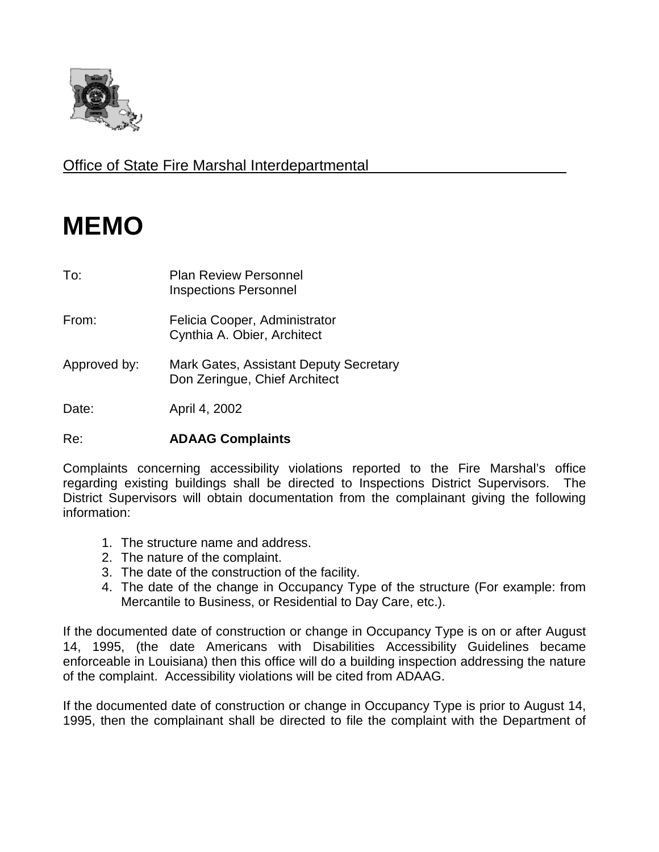

Office of State Fire Marshal Interdepartmental

## **MEMO**

| To:          | <b>Plan Review Personnel</b><br><b>Inspections Personnel</b>            |
|--------------|-------------------------------------------------------------------------|
| From:        | Felicia Cooper, Administrator<br>Cynthia A. Obier, Architect            |
| Approved by: | Mark Gates, Assistant Deputy Secretary<br>Don Zeringue, Chief Architect |
| Date:        | April 4, 2002                                                           |

## Re: **ADAAG Complaints**

Complaints concerning accessibility violations reported to the Fire Marshal's office regarding existing buildings shall be directed to Inspections District Supervisors. The District Supervisors will obtain documentation from the complainant giving the following information:

- 1. The structure name and address.
- 2. The nature of the complaint.
- 3. The date of the construction of the facility.
- 4. The date of the change in Occupancy Type of the structure (For example: from Mercantile to Business, or Residential to Day Care, etc.).

If the documented date of construction or change in Occupancy Type is on or after August 14, 1995, (the date Americans with Disabilities Accessibility Guidelines became enforceable in Louisiana) then this office will do a building inspection addressing the nature of the complaint. Accessibility violations will be cited from ADAAG.

If the documented date of construction or change in Occupancy Type is prior to August 14, 1995, then the complainant shall be directed to file the complaint with the Department of